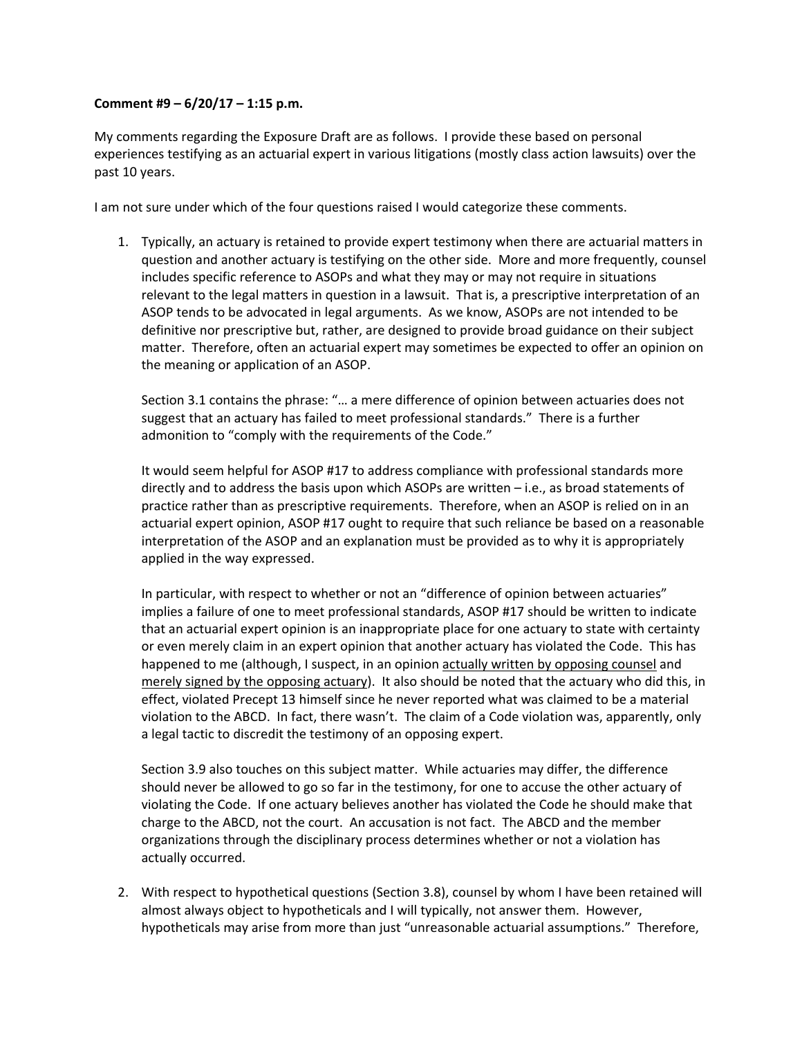## **Comment #9 – 6/20/17 – 1:15 p.m.**

My comments regarding the Exposure Draft are as follows. I provide these based on personal experiences testifying as an actuarial expert in various litigations (mostly class action lawsuits) over the past 10 years.

I am not sure under which of the four questions raised I would categorize these comments.

1. Typically, an actuary is retained to provide expert testimony when there are actuarial matters in question and another actuary is testifying on the other side. More and more frequently, counsel includes specific reference to ASOPs and what they may or may not require in situations relevant to the legal matters in question in a lawsuit. That is, a prescriptive interpretation of an ASOP tends to be advocated in legal arguments. As we know, ASOPs are not intended to be definitive nor prescriptive but, rather, are designed to provide broad guidance on their subject matter. Therefore, often an actuarial expert may sometimes be expected to offer an opinion on the meaning or application of an ASOP.

Section 3.1 contains the phrase: "… a mere difference of opinion between actuaries does not suggest that an actuary has failed to meet professional standards." There is a further admonition to "comply with the requirements of the Code."

It would seem helpful for ASOP #17 to address compliance with professional standards more directly and to address the basis upon which ASOPs are written – i.e., as broad statements of practice rather than as prescriptive requirements. Therefore, when an ASOP is relied on in an actuarial expert opinion, ASOP #17 ought to require that such reliance be based on a reasonable interpretation of the ASOP and an explanation must be provided as to why it is appropriately applied in the way expressed.

In particular, with respect to whether or not an "difference of opinion between actuaries" implies a failure of one to meet professional standards, ASOP #17 should be written to indicate that an actuarial expert opinion is an inappropriate place for one actuary to state with certainty or even merely claim in an expert opinion that another actuary has violated the Code. This has happened to me (although, I suspect, in an opinion actually written by opposing counsel and merely signed by the opposing actuary). It also should be noted that the actuary who did this, in effect, violated Precept 13 himself since he never reported what was claimed to be a material violation to the ABCD. In fact, there wasn't. The claim of a Code violation was, apparently, only a legal tactic to discredit the testimony of an opposing expert.

Section 3.9 also touches on this subject matter. While actuaries may differ, the difference should never be allowed to go so far in the testimony, for one to accuse the other actuary of violating the Code. If one actuary believes another has violated the Code he should make that charge to the ABCD, not the court. An accusation is not fact. The ABCD and the member organizations through the disciplinary process determines whether or not a violation has actually occurred.

2. With respect to hypothetical questions (Section 3.8), counsel by whom I have been retained will almost always object to hypotheticals and I will typically, not answer them. However, hypotheticals may arise from more than just "unreasonable actuarial assumptions." Therefore,